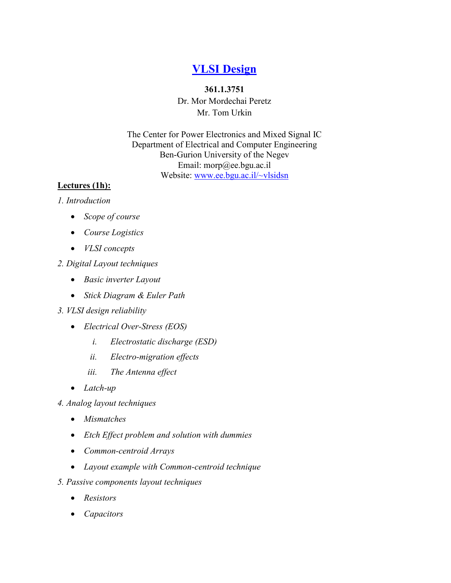## **[VLSI Design](index.htm)**

## **361.1.3751**

Dr. Mor Mordechai Peretz Mr. Tom Urkin

The Center for Power Electronics and Mixed Signal IC Department of Electrical and Computer Engineering Ben-Gurion University of the Negev Email: morp@ee.bgu.ac.il Website:<www.ee.bgu.ac.il/~vlsidsn>

## **Lectures (1h):**

## *1. Introduction*

- *Scope of course*
- *Course Logistics*
- *VLSI concepts*
- *2. Digital Layout techniques*
	- *Basic inverter Layout*
	- *Stick Diagram & Euler Path*
- *3. VLSI design reliability*
	- *Electrical Over-Stress (EOS)* 
		- *i. Electrostatic discharge (ESD)*
		- *ii. Electro-migration effects*
		- *iii. The Antenna effect*
	- *Latch-up*
- *4. Analog layout techniques*
	- *Mismatches*
	- *Etch Effect problem and solution with dummies*
	- *Common-centroid Arrays*
	- *Layout example with Common-centroid technique*
- *5. Passive components layout techniques*
	- *Resistors*
	- *Capacitors*